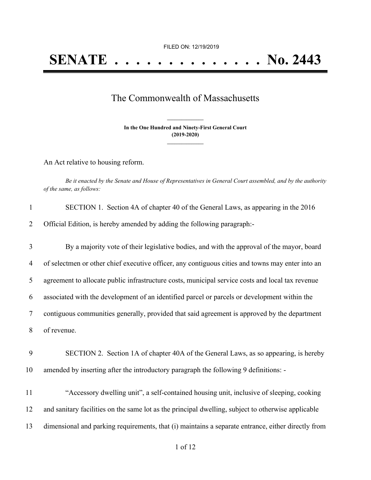## The Commonwealth of Massachusetts

**In the One Hundred and Ninety-First General Court (2019-2020) \_\_\_\_\_\_\_\_\_\_\_\_\_\_\_**

**\_\_\_\_\_\_\_\_\_\_\_\_\_\_\_**

An Act relative to housing reform.

Be it enacted by the Senate and House of Representatives in General Court assembled, and by the authority *of the same, as follows:*

| SECTION 1. Section 4A of chapter 40 of the General Laws, as appearing in the 2016 |
|-----------------------------------------------------------------------------------|
| Official Edition, is hereby amended by adding the following paragraph:-           |

 By a majority vote of their legislative bodies, and with the approval of the mayor, board of selectmen or other chief executive officer, any contiguous cities and towns may enter into an agreement to allocate public infrastructure costs, municipal service costs and local tax revenue associated with the development of an identified parcel or parcels or development within the contiguous communities generally, provided that said agreement is approved by the department of revenue.

- 9 SECTION 2. Section 1A of chapter 40A of the General Laws, as so appearing, is hereby 10 amended by inserting after the introductory paragraph the following 9 definitions: -
- 11 "Accessory dwelling unit", a self-contained housing unit, inclusive of sleeping, cooking 12 and sanitary facilities on the same lot as the principal dwelling, subject to otherwise applicable 13 dimensional and parking requirements, that (i) maintains a separate entrance, either directly from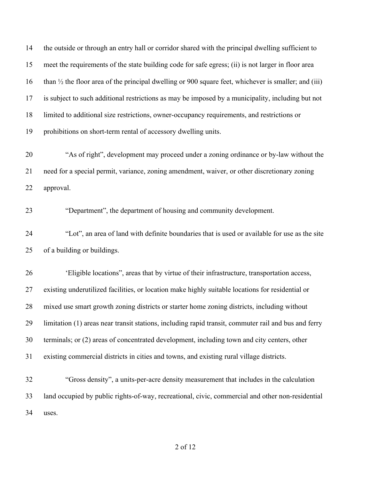the outside or through an entry hall or corridor shared with the principal dwelling sufficient to meet the requirements of the state building code for safe egress; (ii) is not larger in floor area than ½ the floor area of the principal dwelling or 900 square feet, whichever is smaller; and (iii) is subject to such additional restrictions as may be imposed by a municipality, including but not limited to additional size restrictions, owner-occupancy requirements, and restrictions or prohibitions on short-term rental of accessory dwelling units. "As of right", development may proceed under a zoning ordinance or by-law without the need for a special permit, variance, zoning amendment, waiver, or other discretionary zoning approval. "Department", the department of housing and community development. "Lot", an area of land with definite boundaries that is used or available for use as the site of a building or buildings. 'Eligible locations", areas that by virtue of their infrastructure, transportation access, existing underutilized facilities, or location make highly suitable locations for residential or mixed use smart growth zoning districts or starter home zoning districts, including without limitation (1) areas near transit stations, including rapid transit, commuter rail and bus and ferry terminals; or (2) areas of concentrated development, including town and city centers, other existing commercial districts in cities and towns, and existing rural village districts. "Gross density", a units-per-acre density measurement that includes in the calculation land occupied by public rights-of-way, recreational, civic, commercial and other non-residential uses.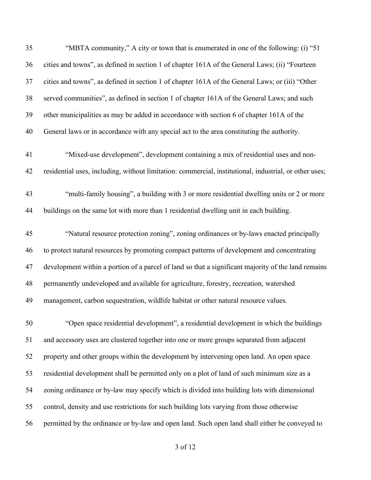| 35 | "MBTA community," A city or town that is enumerated in one of the following: (i) "51                   |
|----|--------------------------------------------------------------------------------------------------------|
| 36 | cities and towns", as defined in section 1 of chapter 161A of the General Laws; (ii) "Fourteen         |
| 37 | cities and towns", as defined in section 1 of chapter 161A of the General Laws; or (iii) "Other        |
| 38 | served communities", as defined in section 1 of chapter 161A of the General Laws; and such             |
| 39 | other municipalities as may be added in accordance with section 6 of chapter 161A of the               |
| 40 | General laws or in accordance with any special act to the area constituting the authority.             |
| 41 | "Mixed-use development", development containing a mix of residential uses and non-                     |
| 42 | residential uses, including, without limitation: commercial, institutional, industrial, or other uses; |
| 43 | "multi-family housing", a building with 3 or more residential dwelling units or 2 or more              |
| 44 | buildings on the same lot with more than 1 residential dwelling unit in each building.                 |
| 45 | "Natural resource protection zoning", zoning ordinances or by-laws enacted principally                 |
| 46 | to protect natural resources by promoting compact patterns of development and concentrating            |
| 47 | development within a portion of a parcel of land so that a significant majority of the land remains    |
| 48 | permanently undeveloped and available for agriculture, forestry, recreation, watershed                 |
| 49 | management, carbon sequestration, wildlife habitat or other natural resource values.                   |
| 50 | "Open space residential development", a residential development in which the buildings                 |
| 51 | and accessory uses are clustered together into one or more groups separated from adjacent              |
| 52 | property and other groups within the development by intervening open land. An open space               |
| 53 | residential development shall be permitted only on a plot of land of such minimum size as a            |
| 54 | zoning ordinance or by-law may specify which is divided into building lots with dimensional            |
| 55 | control, density and use restrictions for such building lots varying from those otherwise              |
| 56 | permitted by the ordinance or by-law and open land. Such open land shall either be conveyed to         |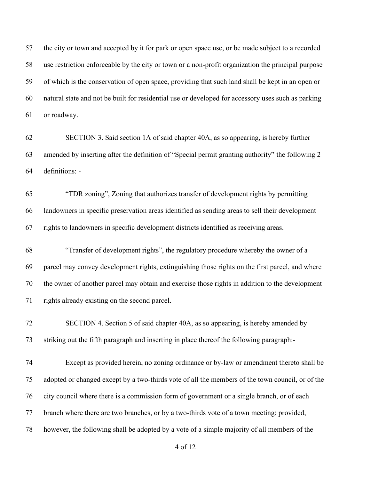the city or town and accepted by it for park or open space use, or be made subject to a recorded use restriction enforceable by the city or town or a non-profit organization the principal purpose of which is the conservation of open space, providing that such land shall be kept in an open or natural state and not be built for residential use or developed for accessory uses such as parking or roadway.

 SECTION 3. Said section 1A of said chapter 40A, as so appearing, is hereby further amended by inserting after the definition of "Special permit granting authority" the following 2 definitions: -

 "TDR zoning", Zoning that authorizes transfer of development rights by permitting landowners in specific preservation areas identified as sending areas to sell their development rights to landowners in specific development districts identified as receiving areas.

 "Transfer of development rights", the regulatory procedure whereby the owner of a parcel may convey development rights, extinguishing those rights on the first parcel, and where the owner of another parcel may obtain and exercise those rights in addition to the development rights already existing on the second parcel.

 SECTION 4. Section 5 of said chapter 40A, as so appearing, is hereby amended by striking out the fifth paragraph and inserting in place thereof the following paragraph:-

 Except as provided herein, no zoning ordinance or by-law or amendment thereto shall be adopted or changed except by a two-thirds vote of all the members of the town council, or of the city council where there is a commission form of government or a single branch, or of each branch where there are two branches, or by a two-thirds vote of a town meeting; provided, however, the following shall be adopted by a vote of a simple majority of all members of the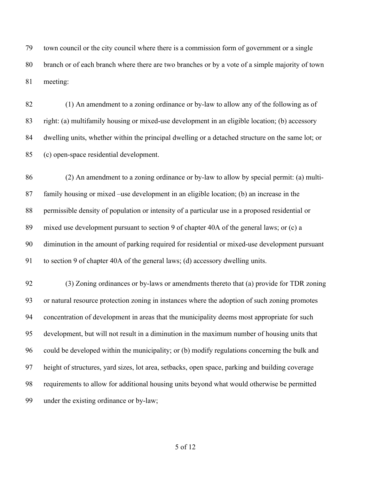town council or the city council where there is a commission form of government or a single branch or of each branch where there are two branches or by a vote of a simple majority of town meeting:

 (1) An amendment to a zoning ordinance or by-law to allow any of the following as of right: (a) multifamily housing or mixed-use development in an eligible location; (b) accessory dwelling units, whether within the principal dwelling or a detached structure on the same lot; or (c) open-space residential development.

 (2) An amendment to a zoning ordinance or by-law to allow by special permit: (a) multi- family housing or mixed –use development in an eligible location; (b) an increase in the permissible density of population or intensity of a particular use in a proposed residential or mixed use development pursuant to section 9 of chapter 40A of the general laws; or (c) a diminution in the amount of parking required for residential or mixed-use development pursuant to section 9 of chapter 40A of the general laws; (d) accessory dwelling units.

 (3) Zoning ordinances or by-laws or amendments thereto that (a) provide for TDR zoning or natural resource protection zoning in instances where the adoption of such zoning promotes concentration of development in areas that the municipality deems most appropriate for such development, but will not result in a diminution in the maximum number of housing units that could be developed within the municipality; or (b) modify regulations concerning the bulk and height of structures, yard sizes, lot area, setbacks, open space, parking and building coverage requirements to allow for additional housing units beyond what would otherwise be permitted under the existing ordinance or by-law;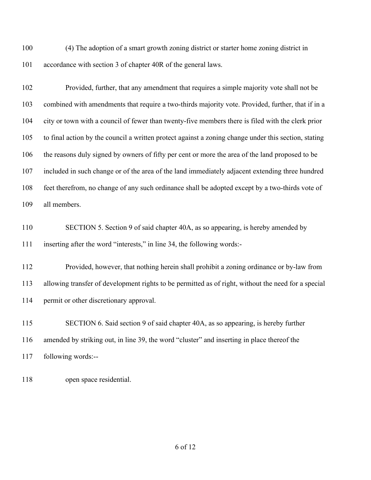(4) The adoption of a smart growth zoning district or starter home zoning district in accordance with section 3 of chapter 40R of the general laws.

 Provided, further, that any amendment that requires a simple majority vote shall not be combined with amendments that require a two-thirds majority vote. Provided, further, that if in a city or town with a council of fewer than twenty-five members there is filed with the clerk prior to final action by the council a written protect against a zoning change under this section, stating the reasons duly signed by owners of fifty per cent or more the area of the land proposed to be included in such change or of the area of the land immediately adjacent extending three hundred feet therefrom, no change of any such ordinance shall be adopted except by a two-thirds vote of all members.

 SECTION 5. Section 9 of said chapter 40A, as so appearing, is hereby amended by inserting after the word "interests," in line 34, the following words:-

 Provided, however, that nothing herein shall prohibit a zoning ordinance or by-law from allowing transfer of development rights to be permitted as of right, without the need for a special permit or other discretionary approval.

 SECTION 6. Said section 9 of said chapter 40A, as so appearing, is hereby further amended by striking out, in line 39, the word "cluster" and inserting in place thereof the following words:--

open space residential.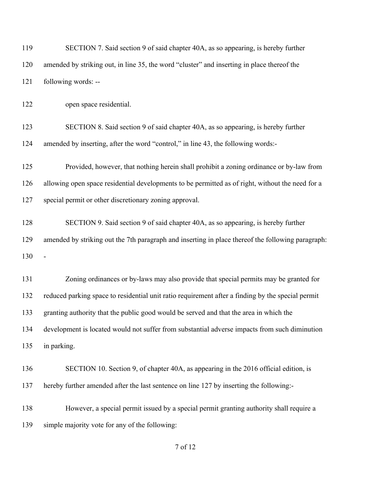| 119 | SECTION 7. Said section 9 of said chapter 40A, as so appearing, is hereby further                 |
|-----|---------------------------------------------------------------------------------------------------|
| 120 | amended by striking out, in line 35, the word "cluster" and inserting in place thereof the        |
| 121 | following words: --                                                                               |
| 122 | open space residential.                                                                           |
| 123 | SECTION 8. Said section 9 of said chapter 40A, as so appearing, is hereby further                 |
| 124 | amended by inserting, after the word "control," in line 43, the following words:-                 |
| 125 | Provided, however, that nothing herein shall prohibit a zoning ordinance or by-law from           |
| 126 | allowing open space residential developments to be permitted as of right, without the need for a  |
| 127 | special permit or other discretionary zoning approval.                                            |
| 128 | SECTION 9. Said section 9 of said chapter 40A, as so appearing, is hereby further                 |
| 129 | amended by striking out the 7th paragraph and inserting in place thereof the following paragraph: |
| 130 |                                                                                                   |
| 131 | Zoning ordinances or by-laws may also provide that special permits may be granted for             |
| 132 | reduced parking space to residential unit ratio requirement after a finding by the special permit |
| 133 | granting authority that the public good would be served and that the area in which the            |
| 134 | development is located would not suffer from substantial adverse impacts from such diminution     |
| 135 | in parking.                                                                                       |
| 136 | SECTION 10. Section 9, of chapter 40A, as appearing in the 2016 official edition, is              |
| 137 | hereby further amended after the last sentence on line 127 by inserting the following:-           |
| 138 | However, a special permit issued by a special permit granting authority shall require a           |
| 139 | simple majority vote for any of the following:                                                    |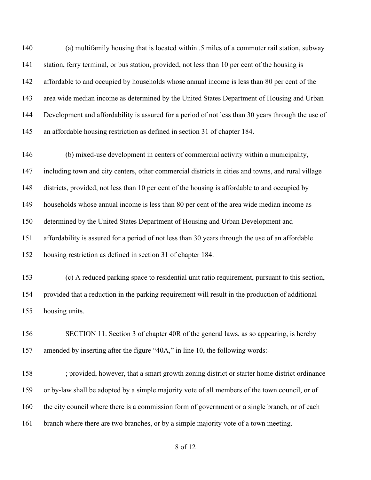(a) multifamily housing that is located within .5 miles of a commuter rail station, subway station, ferry terminal, or bus station, provided, not less than 10 per cent of the housing is affordable to and occupied by households whose annual income is less than 80 per cent of the area wide median income as determined by the United States Department of Housing and Urban Development and affordability is assured for a period of not less than 30 years through the use of an affordable housing restriction as defined in section 31 of chapter 184.

 (b) mixed-use development in centers of commercial activity within a municipality, including town and city centers, other commercial districts in cities and towns, and rural village districts, provided, not less than 10 per cent of the housing is affordable to and occupied by households whose annual income is less than 80 per cent of the area wide median income as determined by the United States Department of Housing and Urban Development and affordability is assured for a period of not less than 30 years through the use of an affordable housing restriction as defined in section 31 of chapter 184.

 (c) A reduced parking space to residential unit ratio requirement, pursuant to this section, provided that a reduction in the parking requirement will result in the production of additional housing units.

 SECTION 11. Section 3 of chapter 40R of the general laws, as so appearing, is hereby amended by inserting after the figure "40A," in line 10, the following words:-

 ; provided, however, that a smart growth zoning district or starter home district ordinance or by-law shall be adopted by a simple majority vote of all members of the town council, or of 160 the city council where there is a commission form of government or a single branch, or of each branch where there are two branches, or by a simple majority vote of a town meeting.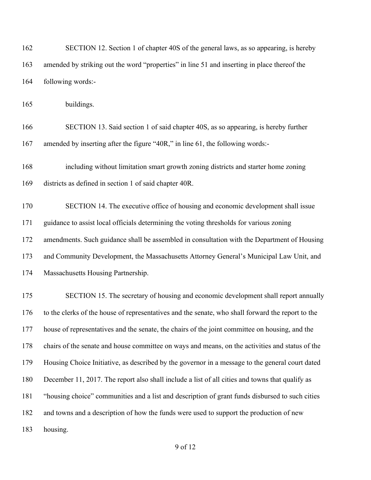| 162 | SECTION 12. Section 1 of chapter 40S of the general laws, as so appearing, is hereby              |
|-----|---------------------------------------------------------------------------------------------------|
| 163 | amended by striking out the word "properties" in line 51 and inserting in place thereof the       |
| 164 | following words:-                                                                                 |
| 165 | buildings.                                                                                        |
| 166 | SECTION 13. Said section 1 of said chapter 40S, as so appearing, is hereby further                |
| 167 | amended by inserting after the figure "40R," in line 61, the following words:-                    |
| 168 | including without limitation smart growth zoning districts and starter home zoning                |
| 169 | districts as defined in section 1 of said chapter 40R.                                            |
| 170 | SECTION 14. The executive office of housing and economic development shall issue                  |
| 171 | guidance to assist local officials determining the voting thresholds for various zoning           |
| 172 | amendments. Such guidance shall be assembled in consultation with the Department of Housing       |
| 173 | and Community Development, the Massachusetts Attorney General's Municipal Law Unit, and           |
| 174 | Massachusetts Housing Partnership.                                                                |
| 175 | SECTION 15. The secretary of housing and economic development shall report annually               |
| 176 | to the clerks of the house of representatives and the senate, who shall forward the report to the |
| 177 | house of representatives and the senate, the chairs of the joint committee on housing, and the    |
| 178 | chairs of the senate and house committee on ways and means, on the activities and status of the   |
| 179 | Housing Choice Initiative, as described by the governor in a message to the general court dated   |
| 180 | December 11, 2017. The report also shall include a list of all cities and towns that qualify as   |
| 181 | "housing choice" communities and a list and description of grant funds disbursed to such cities   |
| 182 | and towns and a description of how the funds were used to support the production of new           |
| 183 | housing.                                                                                          |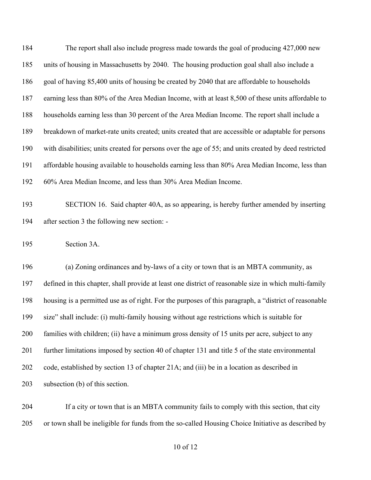| 184 | The report shall also include progress made towards the goal of producing 427,000 new                 |
|-----|-------------------------------------------------------------------------------------------------------|
| 185 | units of housing in Massachusetts by 2040. The housing production goal shall also include a           |
| 186 | goal of having 85,400 units of housing be created by 2040 that are affordable to households           |
| 187 | earning less than 80% of the Area Median Income, with at least 8,500 of these units affordable to     |
| 188 | households earning less than 30 percent of the Area Median Income. The report shall include a         |
| 189 | breakdown of market-rate units created; units created that are accessible or adaptable for persons    |
| 190 | with disabilities; units created for persons over the age of 55; and units created by deed restricted |
| 191 | affordable housing available to households earning less than 80% Area Median Income, less than        |
| 192 | 60% Area Median Income, and less than 30% Area Median Income.                                         |
| 193 | SECTION 16. Said chapter 40A, as so appearing, is hereby further amended by inserting                 |
| 194 | after section 3 the following new section: -                                                          |
| 195 | Section 3A.                                                                                           |
| 196 | (a) Zoning ordinances and by-laws of a city or town that is an MBTA community, as                     |
| 197 | defined in this chapter, shall provide at least one district of reasonable size in which multi-family |
| 198 | housing is a permitted use as of right. For the purposes of this paragraph, a "district of reasonable |
| 199 | size" shall include: (i) multi-family housing without age restrictions which is suitable for          |
| 200 | families with children; (ii) have a minimum gross density of 15 units per acre, subject to any        |
| 201 | further limitations imposed by section 40 of chapter 131 and title 5 of the state environmental       |
| 202 | code, established by section 13 of chapter 21A; and (iii) be in a location as described in            |
| 203 | subsection (b) of this section.                                                                       |
|     |                                                                                                       |

 If a city or town that is an MBTA community fails to comply with this section, that city or town shall be ineligible for funds from the so-called Housing Choice Initiative as described by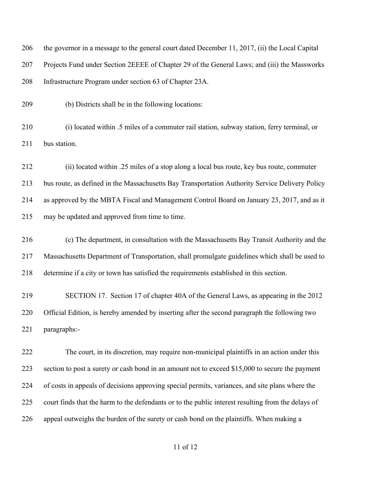| 206 | the governor in a message to the general court dated December 11, 2017, (ii) the Local Capital     |
|-----|----------------------------------------------------------------------------------------------------|
| 207 | Projects Fund under Section 2EEEE of Chapter 29 of the General Laws; and (iii) the Massworks       |
| 208 | Infrastructure Program under section 63 of Chapter 23A.                                            |
| 209 | (b) Districts shall be in the following locations:                                                 |
| 210 | (i) located within .5 miles of a commuter rail station, subway station, ferry terminal, or         |
| 211 | bus station.                                                                                       |
| 212 | (ii) located within .25 miles of a stop along a local bus route, key bus route, commuter           |
| 213 | bus route, as defined in the Massachusetts Bay Transportation Authority Service Delivery Policy    |
| 214 | as approved by the MBTA Fiscal and Management Control Board on January 23, 2017, and as it         |
| 215 | may be updated and approved from time to time.                                                     |
| 216 | (c) The department, in consultation with the Massachusetts Bay Transit Authority and the           |
| 217 | Massachusetts Department of Transportation, shall promulgate guidelines which shall be used to     |
| 218 | determine if a city or town has satisfied the requirements established in this section.            |
| 219 | SECTION 17. Section 17 of chapter 40A of the General Laws, as appearing in the 2012                |
| 220 | Official Edition, is hereby amended by inserting after the second paragraph the following two      |
| 221 | paragraphs:-                                                                                       |
| 222 | The court, in its discretion, may require non-municipal plaintiffs in an action under this         |
| 223 | section to post a surety or cash bond in an amount not to exceed \$15,000 to secure the payment    |
| 224 | of costs in appeals of decisions approving special permits, variances, and site plans where the    |
| 225 | court finds that the harm to the defendants or to the public interest resulting from the delays of |
| 226 | appeal outweighs the burden of the surety or cash bond on the plaintiffs. When making a            |